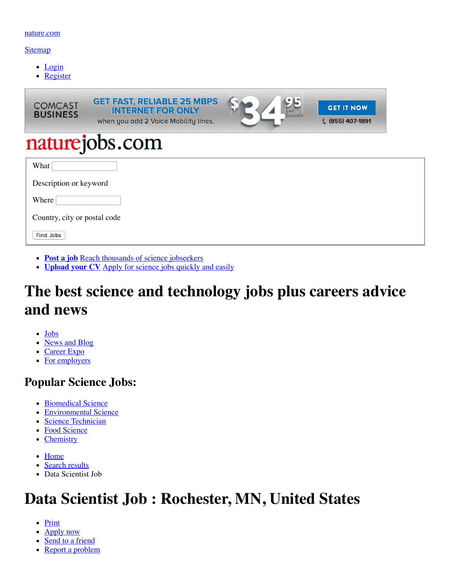#### [nature.com](http://www.nature.com/)

#### [Sitemap](https://www.nature.com/naturejobs/science/siteindex)

- [Login](https://www.nature.com/naturejobs/science/login)
- [Register](https://www.nature.com/naturejobs/science/registrations/new)

| <b>GET FAST, RELIABLE 25 MBPS</b><br><b>INTERNET FOR ONLY</b><br>when you add 2 Voice Mobility lines. | wentl | <b>GET IT NOW</b><br>€ (855) 407-1891 |
|-------------------------------------------------------------------------------------------------------|-------|---------------------------------------|
| naturejobs.com                                                                                        |       |                                       |
|                                                                                                       |       |                                       |
| Description or keyword                                                                                |       |                                       |
|                                                                                                       |       |                                       |
| Country, city or postal code                                                                          |       |                                       |
|                                                                                                       |       |                                       |
|                                                                                                       |       |                                       |

- **[Post a job](https://www.nature.com/naturejobs/science/orders/new)** [Reach thousands of science jobseekers](https://www.nature.com/naturejobs/science/orders/new)
- **[Upload your CV](https://www.nature.com/naturejobs/science/user/job_application_template)** [Apply for science jobs quickly and easily](https://www.nature.com/naturejobs/science/user/job_application_template)

# **The best science and technology jobs plus careers advice and news**

- [Jobs](https://www.nature.com/naturejobs/science/)
- [News and Blog](https://www.nature.com/naturejobs/science/news)
- [Career Expo](https://www.nature.com/naturejobs/career-expo)
- [For employers](https://www.nature.com/naturejobs/science/employers/index)

## **Popular Science Jobs:**

- [Biomedical Science](https://www.nature.com/naturejobs/science/jobs/biomedical-science)
- [Environmental Science](https://www.nature.com/naturejobs/science/jobs/environmental-science)
- [Science Technician](https://www.nature.com/naturejobs/science/jobs/science-technician)
- [Food Science](https://www.nature.com/naturejobs/science/jobs/food-science)
- [Chemistry](https://www.nature.com/naturejobs/science/jobs/chemistry)
- [Home](https://www.nature.com/naturejobs/science/)
- [Search results](https://www.nature.com/naturejobs/science/jobs)
- Data Scientist Job

# **Data Scientist Job : Rochester, MN, United States**

- Print
- [Apply now](#page-1-0)
- [Send to a friend](https://www.nature.com/naturejobs/science/jobs/631277-data-scientist-job/forwards/new)
- [Report a problem](https://www.nature.com/naturejobs/science/jobs/631277-data-scientist-job/problems/new)